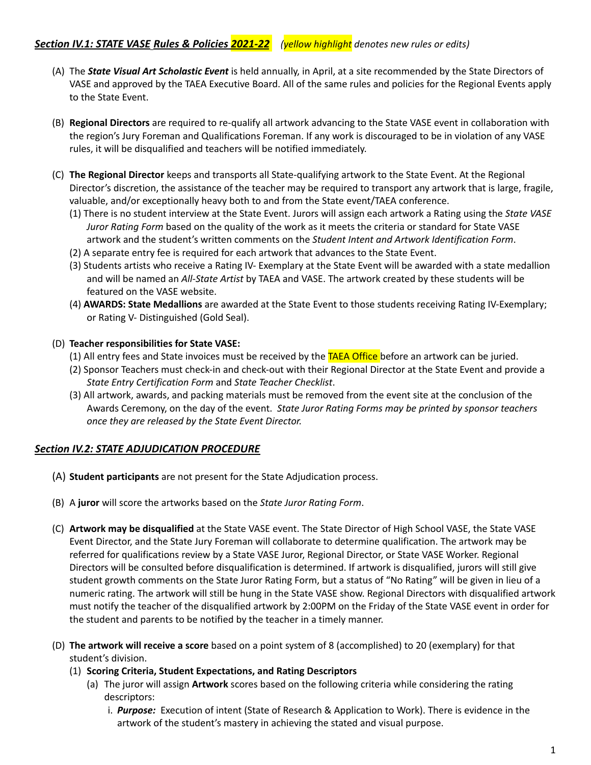- (A) The *State Visual Art Scholastic Event* is held annually, in April, at a site recommended by the State Directors of VASE and approved by the TAEA Executive Board. All of the same rules and policies for the Regional Events apply to the State Event.
- (B) **Regional Directors** are required to re-qualify all artwork advancing to the State VASE event in collaboration with the region's Jury Foreman and Qualifications Foreman. If any work is discouraged to be in violation of any VASE rules, it will be disqualified and teachers will be notified immediately.
- (C) **The Regional Director** keeps and transports all State-qualifying artwork to the State Event. At the Regional Director's discretion, the assistance of the teacher may be required to transport any artwork that is large, fragile, valuable, and/or exceptionally heavy both to and from the State event/TAEA conference.
	- (1) There is no student interview at the State Event. Jurors will assign each artwork a Rating using the *State VASE Juror Rating Form* based on the quality of the work as it meets the criteria or standard for State VASE artwork and the student's written comments on the *Student Intent and Artwork Identification Form*.
	- (2) A separate entry fee is required for each artwork that advances to the State Event.
	- (3) Students artists who receive a Rating IV- Exemplary at the State Event will be awarded with a state medallion and will be named an *All-State Artist* by TAEA and VASE. The artwork created by these students will be featured on the VASE website.
	- (4) **AWARDS: State Medallions** are awarded at the State Event to those students receiving Rating IV-Exemplary; or Rating V- Distinguished (Gold Seal).

## (D) **Teacher responsibilities for State VASE:**

- (1) All entry fees and State invoices must be received by the TAEA Office before an artwork can be juried.
- (2) Sponsor Teachers must check-in and check-out with their Regional Director at the State Event and provide a *State Entry Certification Form* and *State Teacher Checklist*.
- (3) All artwork, awards, and packing materials must be removed from the event site at the conclusion of the Awards Ceremony, on the day of the event. *State Juror Rating Forms may be printed by sponsor teachers once they are released by the State Event Director.*

## *Section IV.2: STATE ADJUDICATION PROCEDURE*

- (A) **Student participants** are not present for the State Adjudication process.
- (B) A **juror** will score the artworks based on the *State Juror Rating Form*.
- (C) **Artwork may be disqualified** at the State VASE event. The State Director of High School VASE, the State VASE Event Director, and the State Jury Foreman will collaborate to determine qualification. The artwork may be referred for qualifications review by a State VASE Juror, Regional Director, or State VASE Worker. Regional Directors will be consulted before disqualification is determined. If artwork is disqualified, jurors will still give student growth comments on the State Juror Rating Form, but a status of "No Rating" will be given in lieu of a numeric rating. The artwork will still be hung in the State VASE show. Regional Directors with disqualified artwork must notify the teacher of the disqualified artwork by 2:00PM on the Friday of the State VASE event in order for the student and parents to be notified by the teacher in a timely manner.
- (D) **The artwork will receive a score** based on a point system of 8 (accomplished) to 20 (exemplary) for that student's division.
	- (1) **Scoring Criteria, Student Expectations, and Rating Descriptors**
		- (a) The juror will assign **Artwork** scores based on the following criteria while considering the rating descriptors:
			- i. *Purpose:* Execution of intent (State of Research & Application to Work). There is evidence in the artwork of the student's mastery in achieving the stated and visual purpose.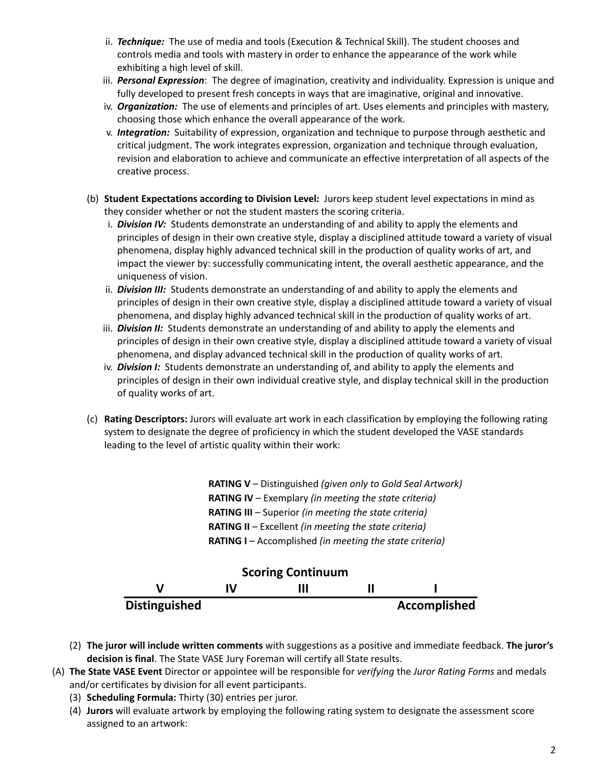- ii. *Technique:* The use of media and tools (Execution & Technical Skill). The student chooses and controls media and tools with mastery in order to enhance the appearance of the work while exhibiting a high level of skill.
- iii. *Personal Expression*: The degree of imagination, creativity and individuality. Expression is unique and fully developed to present fresh concepts in ways that are imaginative, original and innovative.
- iv. *Organization:* The use of elements and principles of art. Uses elements and principles with mastery, choosing those which enhance the overall appearance of the work.
- v. *Integration:* Suitability of expression, organization and technique to purpose through aesthetic and critical judgment. The work integrates expression, organization and technique through evaluation, revision and elaboration to achieve and communicate an effective interpretation of all aspects of the creative process.
- (b) **Student Expectations according to Division Level:** Jurors keep student level expectations in mind as they consider whether or not the student masters the scoring criteria.
	- i. *Division IV:* Students demonstrate an understanding of and ability to apply the elements and principles of design in their own creative style, display a disciplined attitude toward a variety of visual phenomena, display highly advanced technical skill in the production of quality works of art, and impact the viewer by: successfully communicating intent, the overall aesthetic appearance, and the uniqueness of vision.
	- ii. *Division III:* Students demonstrate an understanding of and ability to apply the elements and principles of design in their own creative style, display a disciplined attitude toward a variety of visual phenomena, and display highly advanced technical skill in the production of quality works of art.
	- iii. *Division II:* Students demonstrate an understanding of and ability to apply the elements and principles of design in their own creative style, display a disciplined attitude toward a variety of visual phenomena, and display advanced technical skill in the production of quality works of art.
	- iv. *Division I:* Students demonstrate an understanding of, and ability to apply the elements and principles of design in their own individual creative style, and display technical skill in the production of quality works of art.
- (c) **Rating Descriptors:** Jurors will evaluate art work in each classification by employing the following rating system to designate the degree of proficiency in which the student developed the VASE standards leading to the level of artistic quality within their work:

**RATING V** – Distinguished *(given only to Gold Seal Artwork)* **RATING IV** – Exemplary *(in meeting the state criteria)* **RATING III** – Superior *(in meeting the state criteria)* **RATING II** – Excellent *(in meeting the state criteria)* **RATING I** – Accomplished *(in meeting the state criteria)*



- (2) **The juror will include written comments** with suggestions as a positive and immediate feedback. **The juror's decision is final**. The State VASE Jury Foreman will certify all State results.
- (A) **The State VASE Event** Director or appointee will be responsible for *verifying* the *Juror Rating Forms* and medals and/or certificates by division for all event participants.
	- (3) **Scheduling Formula:** Thirty (30) entries per juror.
	- (4) **Jurors** will evaluate artwork by employing the following rating system to designate the assessment score assigned to an artwork: